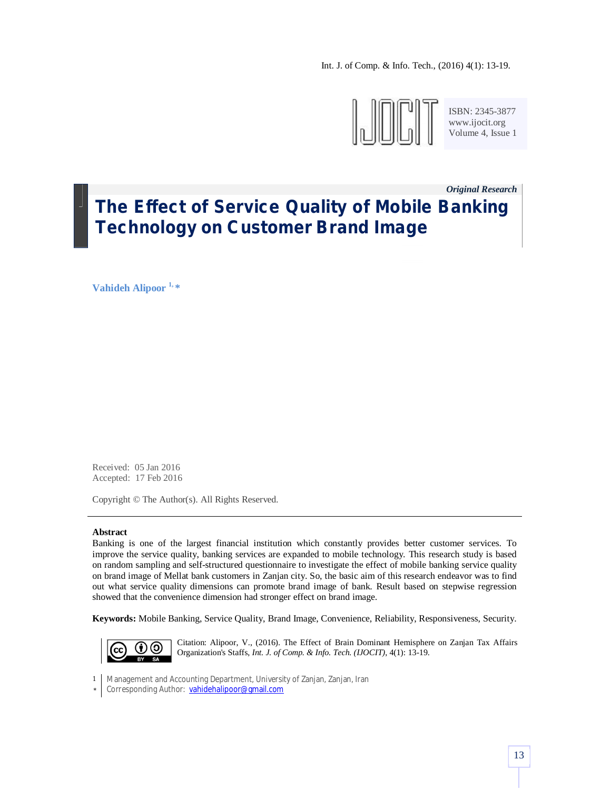Int. J. of Comp. & Info. Tech., (2016) 4(1): 13-19.



ISBN: 2345-3877 www.ijocit.org Volume 4, Issue 1

# *Original Research \_* **The Effect of Service Quality of Mobile Banking Technology on Customer Brand Image**

**Vahideh Alipoor 1, \***

Received: 05 Jan 2016 Accepted: 17 Feb 2016

Copyright © The Author(s). All Rights Reserved.

#### **Abstract**

Banking is one of the largest financial institution which constantly provides better customer services. To improve the service quality, banking services are expanded to mobile technology. This research study is based on random sampling and self-structured questionnaire to investigate the effect of mobile banking service quality on brand image of Mellat bank customers in Zanjan city. So, the basic aim of this research endeavor was to find out what service quality dimensions can promote brand image of bank. Result based on stepwise regression showed that the convenience dimension had stronger effect on brand image.

**Keywords:** Mobile Banking, Service Quality, Brand Image, Convenience, Reliability, Responsiveness, Security.



Citation: Alipoor, V., (2016). The Effect of Brain Dominant Hemisphere on Zanjan Tax Affairs Organization's Staffs, *Int. J. of Comp. & Info. Tech. (IJOCIT)*, 4(1): 13-19.

- 1 Management and Accounting Department, University of Zanjan, Zanjan, Iran
- \* Corresponding Author: vahidehalipoor@gmail.com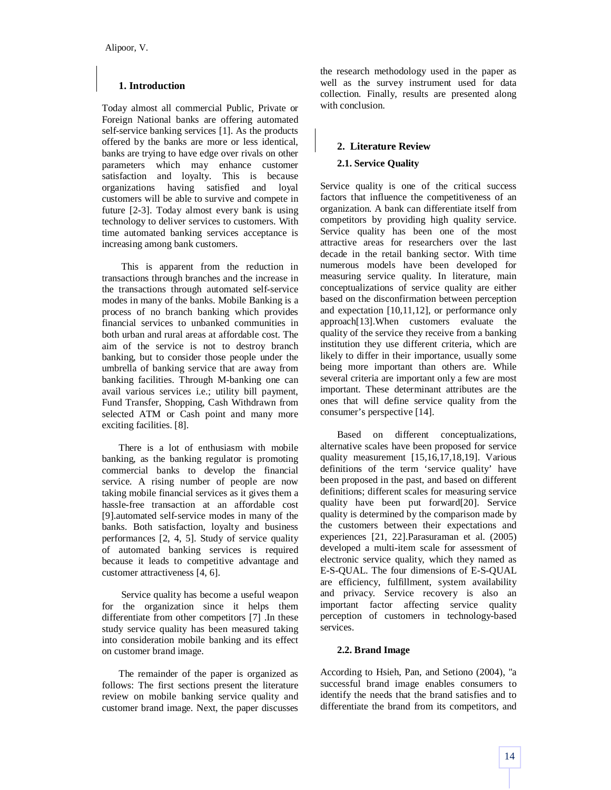# **1. Introduction**

Today almost all commercial Public, Private or Foreign National banks are offering automated self-service banking services [1]. As the products offered by the banks are more or less identical, banks are trying to have edge over rivals on other parameters which may enhance customer satisfaction and loyalty. This is because organizations having satisfied and loyal customers will be able to survive and compete in future [2-3]. Today almost every bank is using technology to deliver services to customers. With time automated banking services acceptance is increasing among bank customers.

This is apparent from the reduction in transactions through branches and the increase in the transactions through automated self-service modes in many of the banks. Mobile Banking is a process of no branch banking which provides financial services to unbanked communities in both urban and rural areas at affordable cost. The aim of the service is not to destroy branch banking, but to consider those people under the umbrella of banking service that are away from banking facilities. Through M-banking one can avail various services i.e.; utility bill payment, Fund Transfer, Shopping, Cash Withdrawn from selected ATM or Cash point and many more exciting facilities. [8].

There is a lot of enthusiasm with mobile banking, as the banking regulator is promoting commercial banks to develop the financial service. A rising number of people are now taking mobile financial services as it gives them a hassle-free transaction at an affordable cost [9].automated self-service modes in many of the banks. Both satisfaction, loyalty and business performances [2, 4, 5]. Study of service quality of automated banking services is required because it leads to competitive advantage and customer attractiveness [4, 6].

Service quality has become a useful weapon for the organization since it helps them differentiate from other competitors [7] .In these study service quality has been measured taking into consideration mobile banking and its effect on customer brand image.

The remainder of the paper is organized as follows: The first sections present the literature review on mobile banking service quality and customer brand image. Next, the paper discusses

the research methodology used in the paper as well as the survey instrument used for data collection. Finally, results are presented along with conclusion.

# **2. Literature Review**

## **2.1. Service Quality**

Service quality is one of the critical success factors that influence the competitiveness of an organization. A bank can differentiate itself from competitors by providing high quality service. Service quality has been one of the most attractive areas for researchers over the last decade in the retail banking sector. With time numerous models have been developed for measuring service quality. In literature, main conceptualizations of service quality are either based on the disconfirmation between perception and expectation [10,11,12], or performance only approach[13].When customers evaluate the quality of the service they receive from a banking institution they use different criteria, which are likely to differ in their importance, usually some being more important than others are. While several criteria are important only a few are most important. These determinant attributes are the ones that will define service quality from the consumer's perspective [14].

Based on different conceptualizations, alternative scales have been proposed for service quality measurement [15,16,17,18,19]. Various definitions of the term 'service quality' have been proposed in the past, and based on different definitions; different scales for measuring service quality have been put forward[20]. Service quality is determined by the comparison made by the customers between their expectations and experiences [21, 22].Parasuraman et al. (2005) developed a multi-item scale for assessment of electronic service quality, which they named as E-S-QUAL. The four dimensions of E-S-QUAL are efficiency, fulfillment, system availability and privacy. Service recovery is also an important factor affecting service quality perception of customers in technology-based services.

# **2.2. Brand Image**

According to Hsieh, Pan, and Setiono (2004), "a successful brand image enables consumers to identify the needs that the brand satisfies and to differentiate the brand from its competitors, and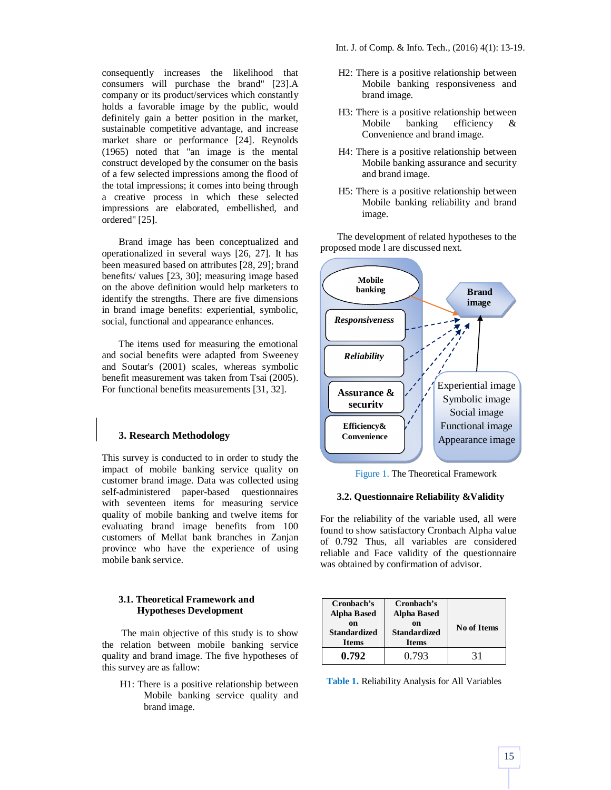consequently increases the likelihood that consumers will purchase the brand" [23].A company or its product/services which constantly holds a favorable image by the public, would definitely gain a better position in the market, sustainable competitive advantage, and increase market share or performance [24]. Reynolds (1965) noted that "an image is the mental construct developed by the consumer on the basis of a few selected impressions among the flood of the total impressions; it comes into being through a creative process in which these selected impressions are elaborated, embellished, and ordered" [25].

Brand image has been conceptualized and operationalized in several ways [26, 27]. It has been measured based on attributes [28, 29]; brand benefits/ values [23, 30]; measuring image based on the above definition would help marketers to identify the strengths. There are five dimensions in brand image benefits: experiential, symbolic, social, functional and appearance enhances.

The items used for measuring the emotional and social benefits were adapted from Sweeney and Soutar's (2001) scales, whereas symbolic benefit measurement was taken from Tsai (2005). For functional benefits measurements [31, 32].

## **3. Research Methodology**

This survey is conducted to in order to study the impact of mobile banking service quality on customer brand image. Data was collected using self-administered paper-based questionnaires with seventeen items for measuring service quality of mobile banking and twelve items for evaluating brand image benefits from 100 customers of Mellat bank branches in Zanjan province who have the experience of using mobile bank service.

## **3.1. Theoretical Framework and Hypotheses Development**

The main objective of this study is to show the relation between mobile banking service quality and brand image. The five hypotheses of this survey are as fallow:

H1: There is a positive relationship between Mobile banking service quality and brand image.

- H2: There is a positive relationship between Mobile banking responsiveness and brand image.
- H3: There is a positive relationship between Mobile banking efficiency & Convenience and brand image.
- H4: There is a positive relationship between Mobile banking assurance and security and brand image.
- H5: There is a positive relationship between Mobile banking reliability and brand image.

The development of related hypotheses to the proposed mode l are discussed next.



Figure 1. The Theoretical Framework

#### **3.2. Questionnaire Reliability &Validity**

For the reliability of the variable used, all were found to show satisfactory Cronbach Alpha value of 0.792 Thus, all variables are considered reliable and Face validity of the questionnaire was obtained by confirmation of advisor.

| Cronbach's<br><b>Alpha Based</b>          | Cronbach's<br><b>Alpha Based</b>          |             |
|-------------------------------------------|-------------------------------------------|-------------|
| on<br><b>Standardized</b><br><b>Items</b> | on<br><b>Standardized</b><br><b>Items</b> | No of Items |
| 0.792                                     | 0.793                                     | 31          |

**Table 1.** Reliability Analysis for All Variables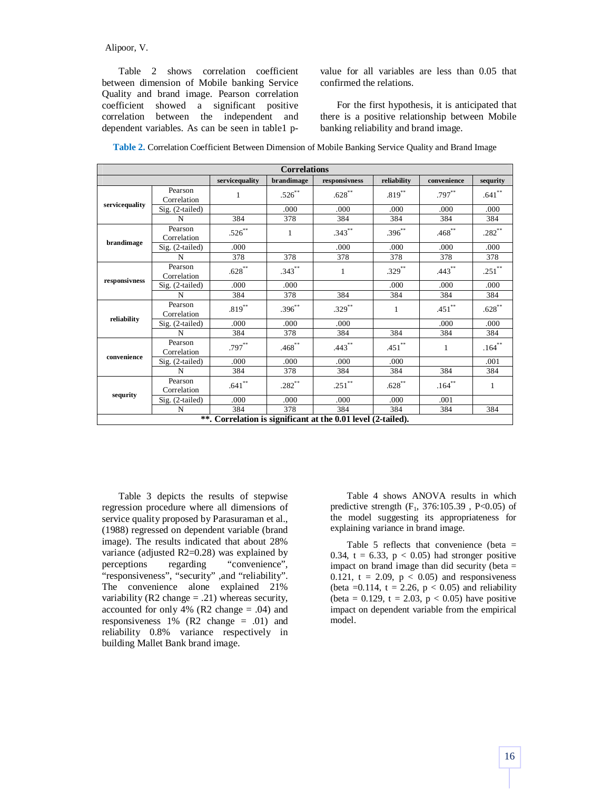### Alipoor, V.

Table 2 shows correlation coefficient between dimension of Mobile banking Service Quality and brand image. Pearson correlation coefficient showed a significant positive correlation between the independent and dependent variables. As can be seen in table1 pvalue for all variables are less than 0.05 that confirmed the relations.

For the first hypothesis, it is anticipated that there is a positive relationship between Mobile banking reliability and brand image.

| <b>Correlations</b> |                        |                |              |                                                              |             |             |              |  |  |  |
|---------------------|------------------------|----------------|--------------|--------------------------------------------------------------|-------------|-------------|--------------|--|--|--|
|                     |                        | servicequality | brandimage   | responsivness                                                | reliability | convenience | sequrity     |  |  |  |
| servicequality      | Pearson<br>Correlation | 1              | $.526***$    | $.628^{**}$                                                  | $.819***$   | .797**      | $.641$ **    |  |  |  |
|                     | Sig. (2-tailed)        |                | .000         | .000                                                         | .000        | .000        | .000         |  |  |  |
|                     | N                      | 384            | 378          | 384                                                          | 384         | 384         | 384          |  |  |  |
| brandimage          | Pearson<br>Correlation | $.526**$       | $\mathbf{1}$ | $.343***$                                                    | $.396***$   | $.468***$   | $.282***$    |  |  |  |
|                     | $Sig. (2-tailed)$      | .000           |              | .000                                                         | .000        | .000        | .000         |  |  |  |
|                     | N                      | 378            | 378          | 378                                                          | 378         | 378         | 378          |  |  |  |
|                     | Pearson<br>Correlation | $.628^{**}$    | $.343***$    | $\mathbf{1}$                                                 | $.329***$   | $.443**$    | $.251$ **    |  |  |  |
| responsivness       | $Sig. (2-tailed)$      | .000           | .000         |                                                              | .000        | .000        | .000         |  |  |  |
|                     | N                      | 384            | 378          | 384                                                          | 384         | 384         | 384          |  |  |  |
|                     | Pearson<br>Correlation | $.819***$      | $.396^{**}$  | $.329***$                                                    | 1           | $.451$ **   | $.628***$    |  |  |  |
| reliability         | Sig. (2-tailed)        | .000           | .000         | .000                                                         |             | .000        | .000         |  |  |  |
|                     | N                      | 384            | 378          | 384                                                          | 384         | 384         | 384          |  |  |  |
| convenience         | Pearson<br>Correlation | $.797**$       | $.468^{**}$  | $.443***$                                                    | $.451$ **   | 1           | $.164***$    |  |  |  |
|                     | $Sig. (2-tailed)$      | .000           | .000         | .000                                                         | .000        |             | .001         |  |  |  |
|                     | N                      | 384            | 378          | 384                                                          | 384         | 384         | 384          |  |  |  |
| sequrity            | Pearson<br>Correlation | $.641$ **      | $.282***$    | $.251$ **                                                    | $.628***$   | $.164***$   | $\mathbf{1}$ |  |  |  |
|                     | Sig. (2-tailed)        | .000           | .000         | .000                                                         | .000        | .001        |              |  |  |  |
|                     | N                      | 384            | 378          | 384                                                          | 384         | 384         | 384          |  |  |  |
|                     |                        |                |              | **. Correlation is significant at the 0.01 level (2-tailed). |             |             |              |  |  |  |

Table 3 depicts the results of stepwise regression procedure where all dimensions of service quality proposed by Parasuraman et al., (1988) regressed on dependent variable (brand image). The results indicated that about 28% variance (adjusted R2=0.28) was explained by<br>perceptions regarding "convenience", regarding "convenience", "responsiveness", "security" ,and "reliability". The convenience alone explained 21% variability ( $R2$  change = .21) whereas security, accounted for only 4% ( $R2$  change = .04) and responsiveness 1% (R2 change = .01) and reliability 0.8% variance respectively in building Mallet Bank brand image.

Table 4 shows ANOVA results in which predictive strength  $(F_1, 376:105.39, P<0.05)$  of the model suggesting its appropriateness for explaining variance in brand image.

Table 5 reflects that convenience (beta  $=$ 0.34, t = 6.33,  $p < 0.05$ ) had stronger positive impact on brand image than did security (beta = 0.121,  $t = 2.09$ ,  $p < 0.05$ ) and responsiveness (beta = 0.114, t = 2.26,  $p < 0.05$ ) and reliability (beta = 0.129, t = 2.03,  $p < 0.05$ ) have positive impact on dependent variable from the empirical model.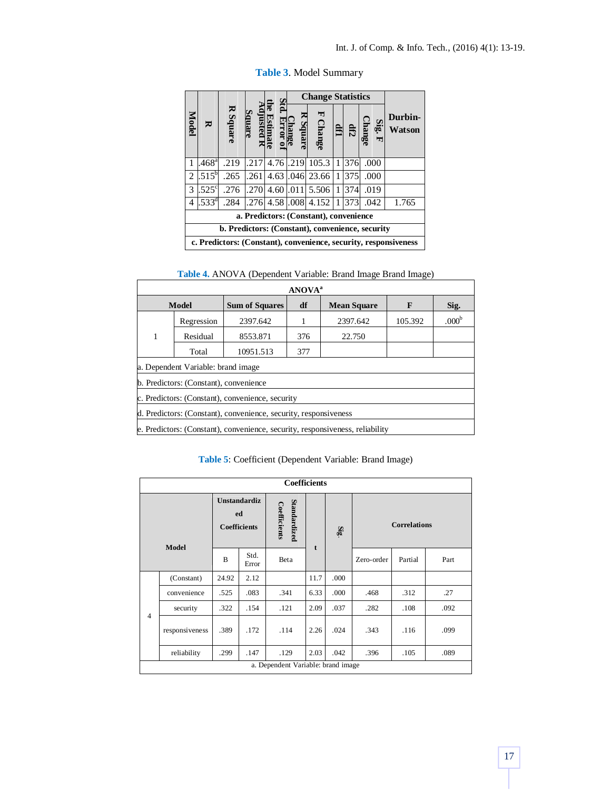|                                                  |                                                                  |          |       |             | <b>Change Statistics</b> |                    |   |     |               |                   |
|--------------------------------------------------|------------------------------------------------------------------|----------|-------|-------------|--------------------------|--------------------|---|-----|---------------|-------------------|
| Model                                            | ₩                                                                | R Square | llare |             |                          | 뇌<br><b>Change</b> |   | 유   | Sig.<br>hange | Durbin-<br>Watson |
|                                                  | .468 <sup>a</sup>                                                | .219     | .217  | 4.76 .219   |                          | 105.3              | 1 | 376 | .000          |                   |
| 2                                                | $.515^b$                                                         | .265     | .261  |             |                          | 4.63 .046 23.66    | 1 | 375 | .000          |                   |
| 3                                                | $.525^{\circ}$                                                   | .276     | .270  | $4.60$ .011 |                          | 5.506              | 1 | 374 | .019          |                   |
| 4                                                | $.533^{\circ}$                                                   | .284     | .276  | 4.58,008    |                          | 4.152              |   | 373 | .042          | 1.765             |
| a. Predictors: (Constant), convenience           |                                                                  |          |       |             |                          |                    |   |     |               |                   |
| b. Predictors: (Constant), convenience, security |                                                                  |          |       |             |                          |                    |   |     |               |                   |
|                                                  | c. Predictors: (Constant), convenience, security, responsiveness |          |       |             |                          |                    |   |     |               |                   |

**Table 3**. Model Summary

| <b>ANOVA</b> <sup>a</sup>                                                     |            |                       |                          |          |         |                   |  |  |  |
|-------------------------------------------------------------------------------|------------|-----------------------|--------------------------|----------|---------|-------------------|--|--|--|
|                                                                               | Model      | <b>Sum of Squares</b> | df<br><b>Mean Square</b> |          | F       | Sig.              |  |  |  |
|                                                                               | Regression | 2397.642              |                          | 2397.642 | 105.392 | .000 <sup>b</sup> |  |  |  |
|                                                                               | Residual   | 8553.871              | 376                      | 22.750   |         |                   |  |  |  |
|                                                                               | Total      | 10951.513             | 377                      |          |         |                   |  |  |  |
| a. Dependent Variable: brand image                                            |            |                       |                          |          |         |                   |  |  |  |
| b. Predictors: (Constant), convenience                                        |            |                       |                          |          |         |                   |  |  |  |
| c. Predictors: (Constant), convenience, security                              |            |                       |                          |          |         |                   |  |  |  |
| d. Predictors: (Constant), convenience, security, responsiveness              |            |                       |                          |          |         |                   |  |  |  |
| e. Predictors: (Constant), convenience, security, responsiveness, reliability |            |                       |                          |          |         |                   |  |  |  |

**Table 5**: Coefficient (Dependent Variable: Brand Image)

| <b>Coefficients</b>                |                |                                           |               |                              |      |                         |                     |         |      |  |
|------------------------------------|----------------|-------------------------------------------|---------------|------------------------------|------|-------------------------|---------------------|---------|------|--|
| <b>Model</b>                       |                | Unstandardiz<br>ed<br><b>Coefficients</b> |               | Standardized<br>Coefficients | t    | $\overline{\mathbf{g}}$ | <b>Correlations</b> |         |      |  |
|                                    |                | B                                         | Std.<br>Error | Beta                         |      |                         | Zero-order          | Partial | Part |  |
|                                    | (Constant)     | 24.92                                     | 2.12          |                              | 11.7 | .000                    |                     |         |      |  |
|                                    | convenience    | .525                                      | .083          | .341                         | 6.33 | .000                    | .468                | .312    | .27  |  |
| $\overline{4}$                     | security       | .322                                      | .154          | .121                         | 2.09 | .037                    | .282                | .108    | .092 |  |
|                                    | responsiveness | .389                                      | .172          | .114                         | 2.26 | .024                    | .343                | .116    | .099 |  |
|                                    | reliability    | .299                                      | .147          | .129                         | 2.03 | .042                    | .396                | .105    | .089 |  |
| a. Dependent Variable: brand image |                |                                           |               |                              |      |                         |                     |         |      |  |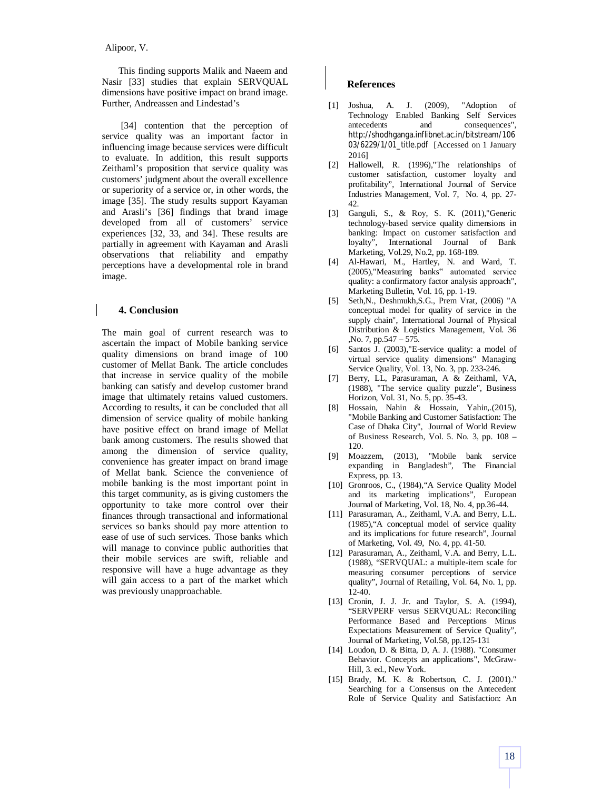## Alipoor, V.

This finding supports Malik and Naeem and Nasir [33] studies that explain SERVQUAL dimensions have positive impact on brand image. Further, Andreassen and Lindestad's

[34] contention that the perception of service quality was an important factor in influencing image because services were difficult to evaluate. In addition, this result supports Zeithaml's proposition that service quality was customers' judgment about the overall excellence or superiority of a service or, in other words, the image [35]. The study results support Kayaman and Arasli's [36] findings that brand image developed from all of customers' service experiences [32, 33, and 34]. These results are partially in agreement with Kayaman and Arasli observations that reliability and empathy perceptions have a developmental role in brand image.

#### **4. Conclusion**

The main goal of current research was to ascertain the impact of Mobile banking service quality dimensions on brand image of 100 customer of Mellat Bank. The article concludes that increase in service quality of the mobile banking can satisfy and develop customer brand image that ultimately retains valued customers. According to results, it can be concluded that all dimension of service quality of mobile banking have positive effect on brand image of Mellat bank among customers. The results showed that among the dimension of service quality, convenience has greater impact on brand image of Mellat bank. Science the convenience of mobile banking is the most important point in this target community, as is giving customers the opportunity to take more control over their finances through transactional and informational services so banks should pay more attention to ease of use of such services. Those banks which will manage to convince public authorities that their mobile services are swift, reliable and responsive will have a huge advantage as they will gain access to a part of the market which was previously unapproachable.

#### **References**

- [1] Joshua, A. J. (2009), "Adoption of Technology Enabled Banking Self Services antecedents and consequences", http://shodhganga.inflibnet.ac.in/bitstream/106 03/6229/1/01\_title.pdf [Accessed on 1 January 2016]
- [2] Hallowell, R. (1996),"The relationships of customer satisfaction, customer loyalty and profitability", International Journal of Service Industries Management, Vol. 7, No. 4, pp. 27- 42.
- [3] Ganguli, S., & Roy, S. K. (2011),"Generic technology-based service quality dimensions in banking: Impact on customer satisfaction and loyalty", International Journal of Bank Marketing, Vol.29, No.2, pp. 168-189.
- [4] Al-Hawari, M., Hartley, N. and Ward, T. (2005),"Measuring banks" automated service quality: a confirmatory factor analysis approach", Marketing Bulletin, Vol. 16, pp. 1-19.
- [5] Seth,N., Deshmukh,S.G., Prem Vrat, (2006) "A conceptual model for quality of service in the supply chain", International Journal of Physical Distribution & Logistics Management, Vol. 36 ,No. 7, pp.547 – 575.
- [6] Santos J. (2003),"E-service quality: a model of virtual service quality dimensions" Managing Service Quality, Vol. 13, No. 3, pp. 233-246.
- [7] Berry, LL, Parasuraman, A & Zeithaml, VA, (1988), "The service quality puzzle", Business Horizon, Vol. 31, No. 5, pp. 35-43.
- [8] Hossain, Nahin & Hossain, Yahin,.(2015), "Mobile Banking and Customer Satisfaction: The Case of Dhaka City", Journal of World Review of Business Research, Vol. 5. No. 3, pp. 108 – 120.
- [9] Moazzem, (2013), "Mobile bank service expanding in Bangladesh", The Financial Express, pp. 13.
- [10] Gronroos, C., (1984),"A Service Quality Model and its marketing implications", European Journal of Marketing, Vol. 18, No. 4, pp.36-44.
- [11] Parasuraman, A., Zeithaml, V.A. and Berry, L.L. (1985),"A conceptual model of service quality and its implications for future research", Journal of Marketing, Vol. 49, No. 4, pp. 41-50.
- [12] Parasuraman, A., Zeithaml, V.A. and Berry, L.L. (1988), "SERVQUAL: a multiple-item scale for measuring consumer perceptions of service quality", Journal of Retailing, Vol. 64, No. 1, pp. 12-40.
- [13] Cronin, J. J. Jr. and Taylor, S. A. (1994), "SERVPERF versus SERVQUAL: Reconciling Performance Based and Perceptions Minus Expectations Measurement of Service Quality", Journal of Marketing, Vol.58, pp.125-131
- [14] Loudon, D. & Bitta, D, A. J. (1988). "Consumer Behavior. Concepts an applications", McGraw-Hill, 3. ed., New York.
- [15] Brady, M. K. & Robertson, C. J. (2001)." Searching for a Consensus on the Antecedent Role of Service Quality and Satisfaction: An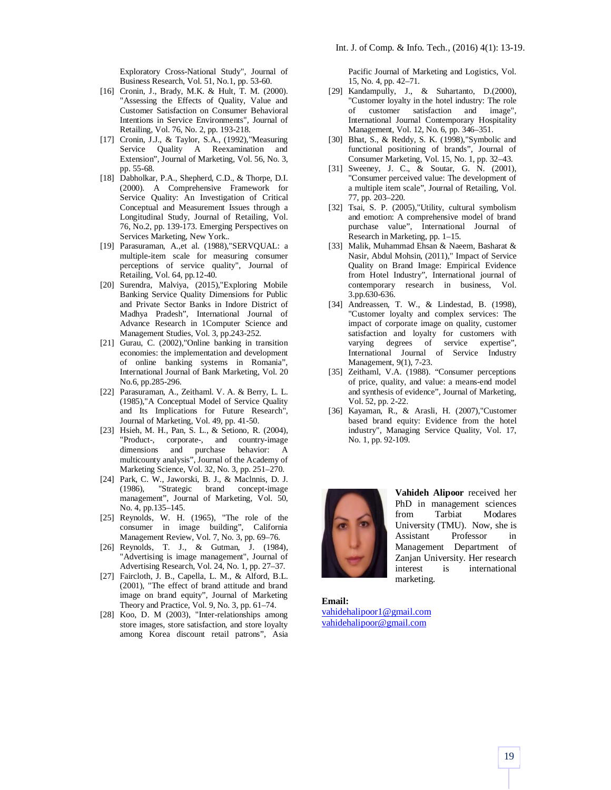Exploratory Cross-National Study", Journal of Business Research, Vol. 51, No.1, pp. 53-60.

- [16] Cronin, J., Brady, M.K. & Hult, T. M. (2000). "Assessing the Effects of Quality, Value and Customer Satisfaction on Consumer Behavioral Intentions in Service Environments", Journal of Retailing, Vol. 76, No. 2, pp. 193-218.
- [17] Cronin, J.J., & Taylor, S.A., (1992), "Measuring Service Quality A Reexamination and Extension", Journal of Marketing, Vol. 56, No. 3, pp. 55-68.
- [18] Dabholkar, P.A., Shepherd, C.D., & Thorpe, D.I. (2000). A Comprehensive Framework for Service Quality: An Investigation of Critical Conceptual and Measurement Issues through a Longitudinal Study, Journal of Retailing, Vol. 76, No.2, pp. 139-173. Emerging Perspectives on Services Marketing, New York..
- [19] Parasuraman, A.,et al. (1988),"SERVQUAL: a multiple-item scale for measuring consumer perceptions of service quality", Journal of Retailing, Vol. 64, pp.12-40.
- [20] Surendra, Malviya, (2015),"Exploring Mobile Banking Service Quality Dimensions for Public and Private Sector Banks in Indore District of Madhya Pradesh", International Journal of Advance Research in 1Computer Science and Management Studies, Vol. 3, pp.243-252.
- [21] Gurau, C. (2002), "Online banking in transition economies: the implementation and development of online banking systems in Romania", International Journal of Bank Marketing, Vol. 20 No.6, pp.285-296.
- [22] Parasuraman, A., Zeithaml. V. A. & Berry, L. L. (1985),"A Conceptual Model of Service Quality and Its Implications for Future Research", Journal of Marketing, Vol. 49, pp. 41-50.
- [23] Hsieh, M. H., Pan, S. L., & Setiono, R. (2004), "Product-, corporate-, and country-image dimensions and purchase behavior: A multicounty analysis", Journal of the Academy of Marketing Science, Vol. 32, No. 3, pp. 251–270.
- [24] Park, C. W., Jaworski, B. J., & Maclnnis, D. J. (1986), "Strategic brand concept-image management", Journal of Marketing, Vol. 50, No. 4, pp.135–145.
- [25] Reynolds, W. H. (1965), "The role of the consumer in image building", California Management Review, Vol. 7, No. 3, pp. 69–76.
- [26] Reynolds, T. J., & Gutman, J. (1984), "Advertising is image management", Journal of Advertising Research, Vol. 24, No. 1, pp. 27–37.
- [27] Faircloth, J. B., Capella, L. M., & Alford, B.L. (2001), "The effect of brand attitude and brand image on brand equity", Journal of Marketing Theory and Practice, Vol. 9, No. 3, pp. 61–74.
- [28] Koo, D. M (2003), "Inter-relationships among store images, store satisfaction, and store loyalty among Korea discount retail patrons", Asia

Pacific Journal of Marketing and Logistics, Vol. 15, No. 4, pp. 42–71.

- [29] Kandampully, J., & Suhartanto, D.(2000), "Customer loyalty in the hotel industry: The role of customer satisfaction and image", International Journal Contemporary Hospitality Management, Vol. 12, No. 6, pp. 346–351.
- [30] Bhat, S., & Reddy, S. K. (1998), 'Symbolic and functional positioning of brands", Journal of Consumer Marketing, Vol. 15, No. 1, pp. 32–43.
- [31] Sweeney, J. C., & Soutar, G. N. (2001), "Consumer perceived value: The development of a multiple item scale", Journal of Retailing, Vol. 77, pp. 203–220.
- [32] Tsai, S. P. (2005),"Utility, cultural symbolism and emotion: A comprehensive model of brand purchase value", International Journal of Research in Marketing, pp. 1–15.
- [33] Malik, Muhammad Ehsan & Naeem, Basharat & Nasir, Abdul Mohsin, (2011)," Impact of Service Quality on Brand Image: Empirical Evidence from Hotel Industry", International journal of contemporary research in business, Vol. 3.pp.630-636.
- [34] Andreassen, T. W., & Lindestad, B. (1998), "Customer loyalty and complex services: The impact of corporate image on quality, customer satisfaction and loyalty for customers with varying degrees of service expertise", International Journal of Service Industry Management, 9(1), 7-23.
- [35] Zeithaml, V.A. (1988). "Consumer perceptions of price, quality, and value: a means-end model and synthesis of evidence", Journal of Marketing, Vol. 52, pp. 2-22.
- [36] Kayaman, R., & Arasli, H. (2007),"Customer based brand equity: Evidence from the hotel industry", Managing Service Quality, Vol. 17, No. 1, pp. 92-109.



**Vahideh Alipoor** received her PhD in management sciences from Tarbiat Modares University (TMU). Now, she is Assistant Professor in Management Department of Zanjan University. Her research interest is international marketing.

**Email:** vahidehalipoor1@gmail.com vahidehalipoor@gmail.com